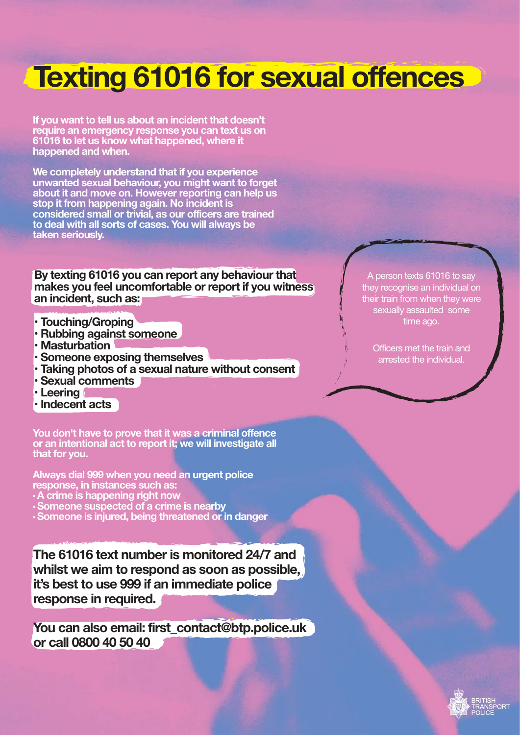# **Texting 61016 for sexual offences**

**If you want to tell us about an incident that doesn't require an emergency response you can text us on 61016 to let us know what happened, where it happened and when.**

**We completely understand that if you experience unwanted sexual behaviour, you might want to forget about it and move on. However reporting can help us stop it from happening again. No incident is considered small or trivial, as our officers are trained to deal with all sorts of cases. You will always be taken seriously.**

**By texting 61016 you can report any behaviour that makes you feel uncomfortable or report if you witness an incident, such as:**

- **Touching/Groping**
- **Rubbing against someone**
- **Masturbation**
- **Someone exposing themselves**
- **Taking photos of a sexual nature without consent**
- **Sexual comments**
- **Leering**
- **Indecent acts**

**You don't have to prove that it was a criminal offence or an intentional act to report it; we will investigate all that for you.**

**Always dial 999 when you need an urgent police** 

- **A** crime is happening right now
- **Someone suspected of a crime is nearby**
- **Someone is injured, being threatened or in danger**

**The 61016 text number is monitored 24/7 and whilst we aim to respond as soon as possible, it's best to use 999 if an immediate police response in required.**

**You can also email: first\_contact@btp.police.uk or call 0800 40 50 40**

A person texts 61016 to say they recognise an individual on their train from when they were sexually assaulted some time ago.

Officers met the train and arrested the individual.